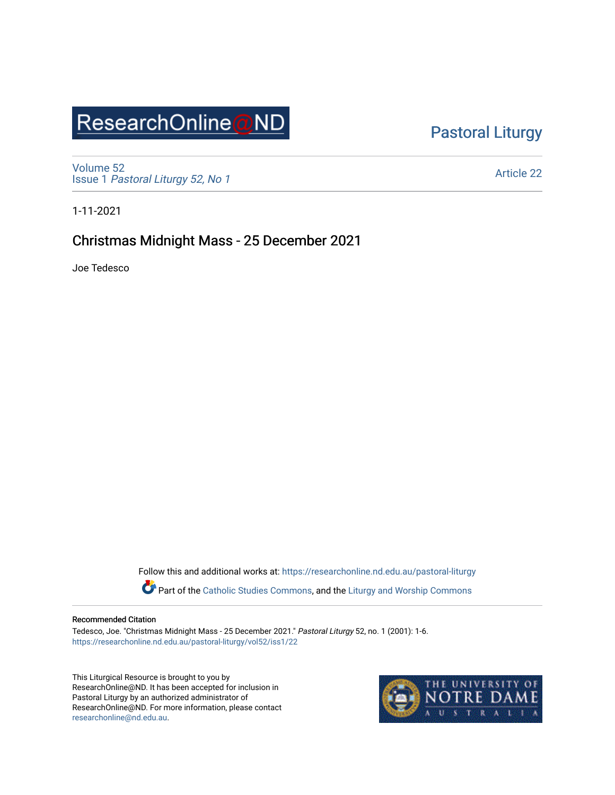# ResearchOnline@ND

## [Pastoral Liturgy](https://researchonline.nd.edu.au/pastoral-liturgy)

[Volume 52](https://researchonline.nd.edu.au/pastoral-liturgy/vol52) Issue 1 [Pastoral Liturgy 52, No 1](https://researchonline.nd.edu.au/pastoral-liturgy/vol52/iss1)

[Article 22](https://researchonline.nd.edu.au/pastoral-liturgy/vol52/iss1/22) 

1-11-2021

## Christmas Midnight Mass - 25 December 2021

Joe Tedesco

Follow this and additional works at: [https://researchonline.nd.edu.au/pastoral-liturgy](https://researchonline.nd.edu.au/pastoral-liturgy?utm_source=researchonline.nd.edu.au%2Fpastoral-liturgy%2Fvol52%2Fiss1%2F22&utm_medium=PDF&utm_campaign=PDFCoverPages)

Part of the [Catholic Studies Commons,](http://network.bepress.com/hgg/discipline/1294?utm_source=researchonline.nd.edu.au%2Fpastoral-liturgy%2Fvol52%2Fiss1%2F22&utm_medium=PDF&utm_campaign=PDFCoverPages) and the Liturgy and Worship Commons

#### Recommended Citation

Tedesco, Joe. "Christmas Midnight Mass - 25 December 2021." Pastoral Liturgy 52, no. 1 (2001): 1-6. [https://researchonline.nd.edu.au/pastoral-liturgy/vol52/iss1/22](https://researchonline.nd.edu.au/pastoral-liturgy/vol52/iss1/22?utm_source=researchonline.nd.edu.au%2Fpastoral-liturgy%2Fvol52%2Fiss1%2F22&utm_medium=PDF&utm_campaign=PDFCoverPages)

This Liturgical Resource is brought to you by ResearchOnline@ND. It has been accepted for inclusion in Pastoral Liturgy by an authorized administrator of ResearchOnline@ND. For more information, please contact [researchonline@nd.edu.au.](mailto:researchonline@nd.edu.au)

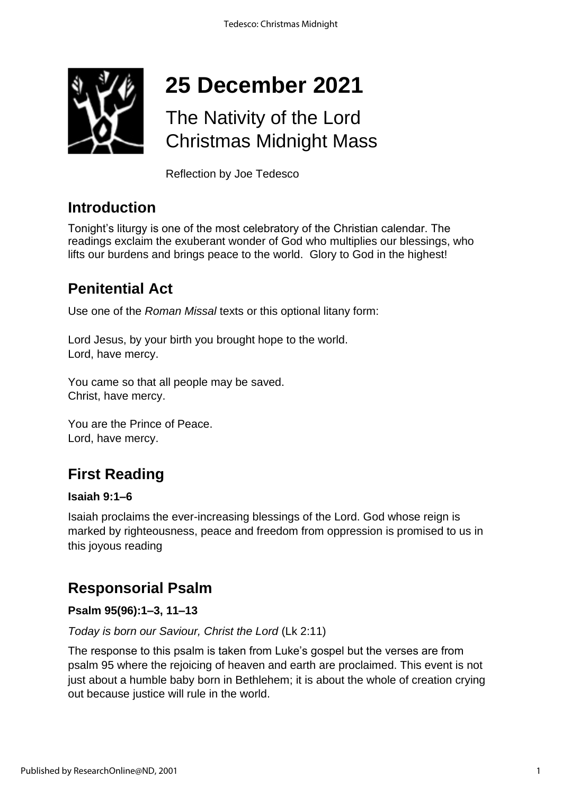

# **25 December 2021**

## The Nativity of the Lord Christmas Midnight Mass

Reflection by Joe Tedesco

## **Introduction**

Tonight's liturgy is one of the most celebratory of the Christian calendar. The readings exclaim the exuberant wonder of God who multiplies our blessings, who lifts our burdens and brings peace to the world. Glory to God in the highest!

## **Penitential Act**

Use one of the *Roman Missal* texts or this optional litany form:

Lord Jesus, by your birth you brought hope to the world. Lord, have mercy.

You came so that all people may be saved. Christ, have mercy.

You are the Prince of Peace. Lord, have mercy.

## **First Reading**

#### **Isaiah 9:1–6**

Isaiah proclaims the ever-increasing blessings of the Lord. God whose reign is marked by righteousness, peace and freedom from oppression is promised to us in this joyous reading

## **Responsorial Psalm**

## **Psalm 95(96):1–3, 11–13**

*Today is born our Saviour, Christ the Lord* (Lk 2:11)

The response to this psalm is taken from Luke's gospel but the verses are from psalm 95 where the rejoicing of heaven and earth are proclaimed. This event is not just about a humble baby born in Bethlehem; it is about the whole of creation crying out because justice will rule in the world.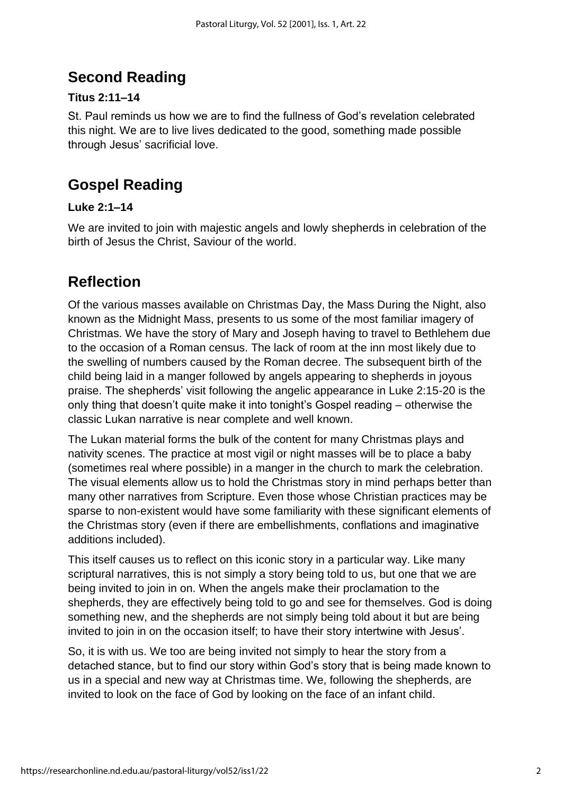## **Second Reading**

## **Titus 2:11–14**

St. Paul reminds us how we are to find the fullness of God's revelation celebrated this night. We are to live lives dedicated to the good, something made possible through Jesus' sacrificial love.

## **Gospel Reading**

## **Luke 2:1–14**

We are invited to join with majestic angels and lowly shepherds in celebration of the birth of Jesus the Christ, Saviour of the world.

## **Reflection**

Of the various masses available on Christmas Day, the Mass During the Night, also known as the Midnight Mass, presents to us some of the most familiar imagery of Christmas. We have the story of Mary and Joseph having to travel to Bethlehem due to the occasion of a Roman census. The lack of room at the inn most likely due to the swelling of numbers caused by the Roman decree. The subsequent birth of the child being laid in a manger followed by angels appearing to shepherds in joyous praise. The shepherds' visit following the angelic appearance in Luke 2:15-20 is the only thing that doesn't quite make it into tonight's Gospel reading – otherwise the classic Lukan narrative is near complete and well known.

The Lukan material forms the bulk of the content for many Christmas plays and nativity scenes. The practice at most vigil or night masses will be to place a baby (sometimes real where possible) in a manger in the church to mark the celebration. The visual elements allow us to hold the Christmas story in mind perhaps better than many other narratives from Scripture. Even those whose Christian practices may be sparse to non-existent would have some familiarity with these significant elements of the Christmas story (even if there are embellishments, conflations and imaginative additions included).

This itself causes us to reflect on this iconic story in a particular way. Like many scriptural narratives, this is not simply a story being told to us, but one that we are being invited to join in on. When the angels make their proclamation to the shepherds, they are effectively being told to go and see for themselves. God is doing something new, and the shepherds are not simply being told about it but are being invited to join in on the occasion itself; to have their story intertwine with Jesus'.

So, it is with us. We too are being invited not simply to hear the story from a detached stance, but to find our story within God's story that is being made known to us in a special and new way at Christmas time. We, following the shepherds, are invited to look on the face of God by looking on the face of an infant child.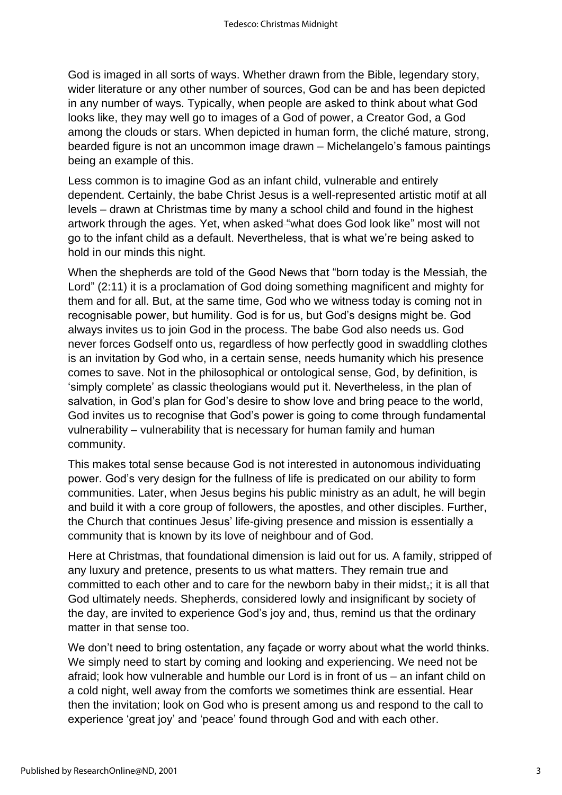God is imaged in all sorts of ways. Whether drawn from the Bible, legendary story, wider literature or any other number of sources, God can be and has been depicted in any number of ways. Typically, when people are asked to think about what God looks like, they may well go to images of a God of power, a Creator God, a God among the clouds or stars. When depicted in human form, the cliché mature, strong, bearded figure is not an uncommon image drawn – Michelangelo's famous paintings being an example of this.

Less common is to imagine God as an infant child, vulnerable and entirely dependent. Certainly, the babe Christ Jesus is a well-represented artistic motif at all levels – drawn at Christmas time by many a school child and found in the highest artwork through the ages. Yet, when asked "what does God look like" most will not go to the infant child as a default. Nevertheless, that is what we're being asked to hold in our minds this night.

When the shepherds are told of the Good News that "born today is the Messiah, the Lord" (2:11) it is a proclamation of God doing something magnificent and mighty for them and for all. But, at the same time, God who we witness today is coming not in recognisable power, but humility. God is for us, but God's designs might be. God always invites us to join God in the process. The babe God also needs us. God never forces Godself onto us, regardless of how perfectly good in swaddling clothes is an invitation by God who, in a certain sense, needs humanity which his presence comes to save. Not in the philosophical or ontological sense, God, by definition, is 'simply complete' as classic theologians would put it. Nevertheless, in the plan of salvation, in God's plan for God's desire to show love and bring peace to the world, God invites us to recognise that God's power is going to come through fundamental vulnerability – vulnerability that is necessary for human family and human community.

This makes total sense because God is not interested in autonomous individuating power. God's very design for the fullness of life is predicated on our ability to form communities. Later, when Jesus begins his public ministry as an adult, he will begin and build it with a core group of followers, the apostles, and other disciples. Further, the Church that continues Jesus' life-giving presence and mission is essentially a community that is known by its love of neighbour and of God.

Here at Christmas, that foundational dimension is laid out for us. A family, stripped of any luxury and pretence, presents to us what matters. They remain true and committed to each other and to care for the newborn baby in their midst-; it is all that God ultimately needs. Shepherds, considered lowly and insignificant by society of the day, are invited to experience God's joy and, thus, remind us that the ordinary matter in that sense too.

We don't need to bring ostentation, any façade or worry about what the world thinks. We simply need to start by coming and looking and experiencing. We need not be afraid; look how vulnerable and humble our Lord is in front of us – an infant child on a cold night, well away from the comforts we sometimes think are essential. Hear then the invitation; look on God who is present among us and respond to the call to experience 'great joy' and 'peace' found through God and with each other.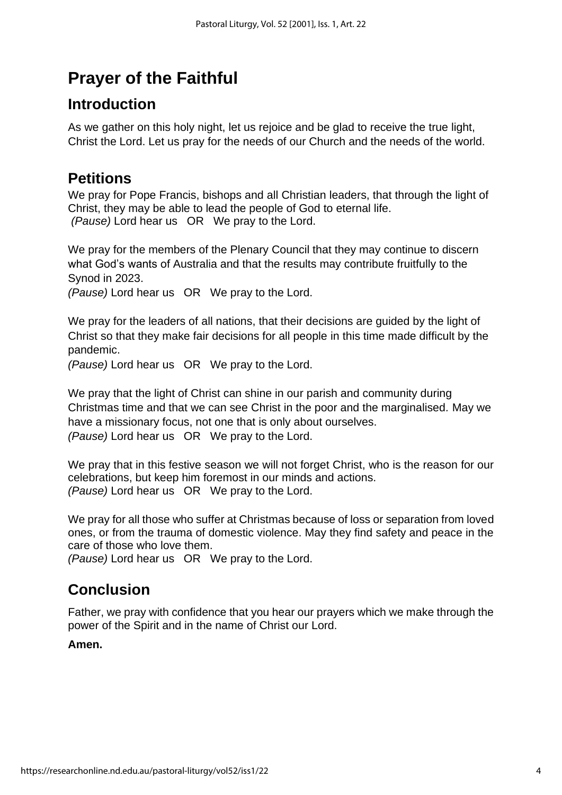## **Prayer of the Faithful**

## **Introduction**

As we gather on this holy night, let us rejoice and be glad to receive the true light, Christ the Lord. Let us pray for the needs of our Church and the needs of the world.

## **Petitions**

We pray for Pope Francis, bishops and all Christian leaders, that through the light of Christ, they may be able to lead the people of God to eternal life. *(Pause)* Lord hear us OR We pray to the Lord.

We pray for the members of the Plenary Council that they may continue to discern what God's wants of Australia and that the results may contribute fruitfully to the Synod in 2023.

*(Pause)* Lord hear us OR We pray to the Lord.

We pray for the leaders of all nations, that their decisions are guided by the light of Christ so that they make fair decisions for all people in this time made difficult by the pandemic.

*(Pause)* Lord hear us OR We pray to the Lord.

We pray that the light of Christ can shine in our parish and community during Christmas time and that we can see Christ in the poor and the marginalised*.* May we have a missionary focus, not one that is only about ourselves. *(Pause)* Lord hear us OR We pray to the Lord.

We pray that in this festive season we will not forget Christ, who is the reason for our celebrations, but keep him foremost in our minds and actions. *(Pause)* Lord hear us OR We pray to the Lord.

We pray for all those who suffer at Christmas because of loss or separation from loved ones, or from the trauma of domestic violence. May they find safety and peace in the care of those who love them.

*(Pause)* Lord hear us OR We pray to the Lord.

## **Conclusion**

Father, we pray with confidence that you hear our prayers which we make through the power of the Spirit and in the name of Christ our Lord.

#### **Amen.**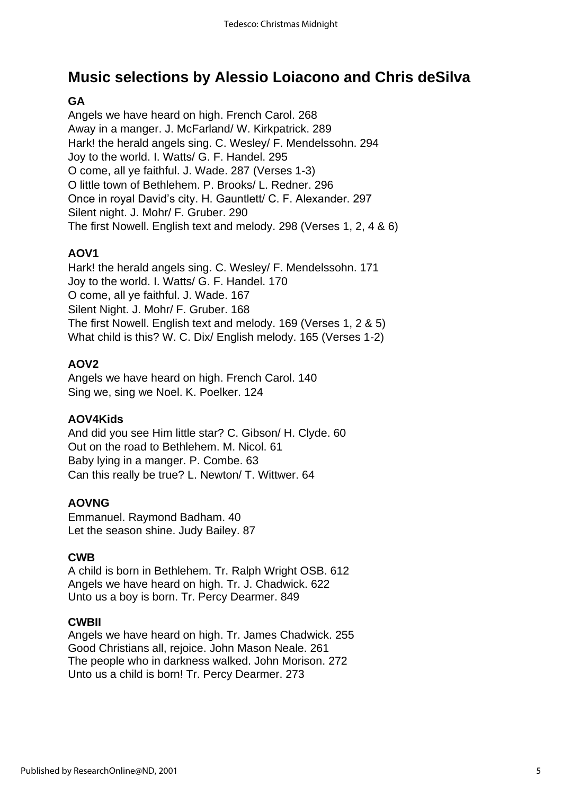## **Music selections by Alessio Loiacono and Chris deSilva**

## **GA**

Angels we have heard on high. French Carol. 268 Away in a manger. J. McFarland/ W. Kirkpatrick. 289 Hark! the herald angels sing. C. Wesley/ F. Mendelssohn. 294 Joy to the world. I. Watts/ G. F. Handel. 295 O come, all ye faithful. J. Wade. 287 (Verses 1-3) O little town of Bethlehem. P. Brooks/ L. Redner. 296 Once in royal David's city. H. Gauntlett/ C. F. Alexander. 297 Silent night. J. Mohr/ F. Gruber. 290 The first Nowell. English text and melody. 298 (Verses 1, 2, 4 & 6)

#### **AOV1**

Hark! the herald angels sing. C. Wesley/ F. Mendelssohn. 171 Joy to the world. I. Watts/ G. F. Handel. 170 O come, all ye faithful. J. Wade. 167 Silent Night. J. Mohr/ F. Gruber. 168 The first Nowell. English text and melody. 169 (Verses 1, 2 & 5) What child is this? W. C. Dix/ English melody. 165 (Verses 1-2)

#### **AOV2**

Angels we have heard on high. French Carol. 140 Sing we, sing we Noel. K. Poelker. 124

#### **AOV4Kids**

And did you see Him little star? C. Gibson/ H. Clyde. 60 Out on the road to Bethlehem. M. Nicol. 61 Baby lying in a manger. P. Combe. 63 Can this really be true? L. Newton/ T. Wittwer. 64

#### **AOVNG**

Emmanuel. Raymond Badham. 40 Let the season shine. Judy Bailey. 87

#### **CWB**

A child is born in Bethlehem. Tr. Ralph Wright OSB. 612 Angels we have heard on high. Tr. J. Chadwick. 622 Unto us a boy is born. Tr. Percy Dearmer. 849

#### **CWBII**

Angels we have heard on high. Tr. James Chadwick. 255 Good Christians all, rejoice. John Mason Neale. 261 The people who in darkness walked. John Morison. 272 Unto us a child is born! Tr. Percy Dearmer. 273